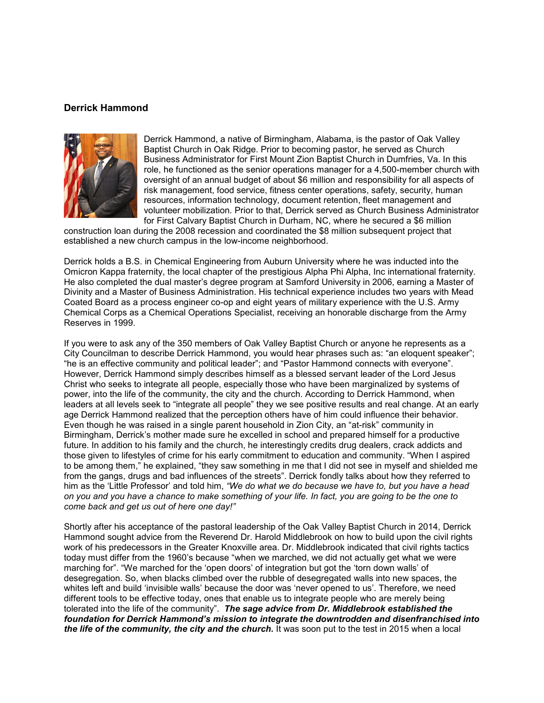## **Derrick Hammond**



Derrick Hammond, a native of Birmingham, Alabama, is the pastor of [Oak Valley](https://oakvalleybc.com/)  [Baptist Church](https://oakvalleybc.com/) in Oak Ridge. Prior to becoming pastor, he served as Church Business Administrator for First Mount Zion Baptist Church in Dumfries, Va. In this role, he functioned as the senior operations manager for a 4,500-member church with oversight of an annual budget of about \$6 million and responsibility for all aspects of risk management, food service, fitness center operations, safety, security, human resources, information technology, document retention, fleet management and volunteer mobilization. Prior to that, Derrick served as Church Business Administrator for First Calvary Baptist Church in Durham, NC, where he secured a \$6 million

construction loan during the 2008 recession and coordinated the \$8 million subsequent project that established a new church campus in the low-income neighborhood.

Derrick holds a B.S. in Chemical Engineering from Auburn University where he was inducted into the Omicron Kappa fraternity, the local chapter of the prestigious Alpha Phi Alpha, Inc international fraternity. He also completed the dual master's degree program at Samford University in 2006, earning a Master of Divinity and a Master of Business Administration. His technical experience includes two years with Mead Coated Board as a process engineer co-op and eight years of military experience with the U.S. Army Chemical Corps as a Chemical Operations Specialist, receiving an honorable discharge from the Army Reserves in 1999.

If you were to ask any of the 350 members of Oak Valley Baptist Church or anyone he represents as a City Councilman to describe Derrick Hammond, you would hear phrases such as: "an eloquent speaker"; "he is an effective community and political leader"; and "Pastor Hammond connects with everyone". However, Derrick Hammond simply describes himself as a blessed servant leader of the Lord Jesus Christ who seeks to integrate all people, especially those who have been marginalized by systems of power, into the life of the community, the city and the church. According to Derrick Hammond, when leaders at all levels seek to "integrate all people" they we see positive results and real change. At an early age Derrick Hammond realized that the perception others have of him could influence their behavior. Even though he was raised in a single parent household in Zion City, an "at-risk" community in Birmingham, Derrick's mother made sure he excelled in school and prepared himself for a productive future. In addition to his family and the church, he interestingly credits drug dealers, crack addicts and those given to lifestyles of crime for his early commitment to education and community. "When I aspired to be among them," he explained, "they saw something in me that I did not see in myself and shielded me from the gangs, drugs and bad influences of the streets". Derrick fondly talks about how they referred to him as the 'Little Professor' and told him, *"We do what we do because we have to, but you have a head on you and you have a chance to make something of your life. In fact, you are going to be the one to come back and get us out of here one day!"*

Shortly after his acceptance of the pastoral leadership of the Oak Valley Baptist Church in 2014, Derrick Hammond sought advice from the Reverend Dr. Harold Middlebrook on how to build upon the civil rights work of his predecessors in the Greater Knoxville area. Dr. Middlebrook indicated that civil rights tactics today must differ from the 1960's because "when we marched, we did not actually get what we were marching for". "We marched for the 'open doors' of integration but got the 'torn down walls' of desegregation. So, when blacks climbed over the rubble of desegregated walls into new spaces, the whites left and build 'invisible walls' because the door was 'never opened to us'. Therefore, we need different tools to be effective today, ones that enable us to integrate people who are merely being tolerated into the life of the community". *The sage advice from Dr. Middlebrook established the foundation for Derrick Hammond's mission to integrate the downtrodden and disenfranchised into the life of the community, the city and the church.* It was soon put to the test in 2015 when a local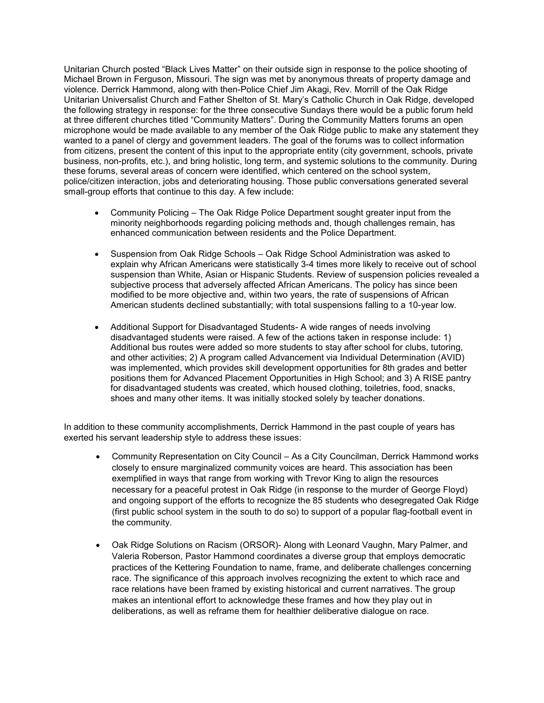Unitarian Church posted "Black Lives Matter" on their outside sign in response to the police shooting of Michael Brown in Ferguson, Missouri. The sign was met by anonymous threats of property damage and violence. Derrick Hammond, along with then-Police Chief Jim Akagi, Rev. Morrill of the Oak Ridge Unitarian Universalist Church and Father Shelton of St. Mary's Catholic Church in Oak Ridge, developed the following strategy in response: for the three consecutive Sundays there would be a public forum held at three different churches titled "Community Matters". During the Community Matters forums an open microphone would be made available to any member of the Oak Ridge public to make any statement they wanted to a panel of clergy and government leaders. The goal of the forums was to collect information from citizens, present the content of this input to the appropriate entity (city government, schools, private business, non-profits, etc.), and bring holistic, long term, and systemic solutions to the community. During these forums, several areas of concern were identified, which centered on the school system, police/citizen interaction, jobs and deteriorating housing. Those public conversations generated several small-group efforts that continue to this day. A few include:

- Community Policing The Oak Ridge Police Department sought greater input from the minority neighborhoods regarding policing methods and, though challenges remain, has enhanced communication between residents and the Police Department.
- Suspension from Oak Ridge Schools Oak Ridge School Administration was asked to explain why African Americans were statistically 3-4 times more likely to receive out of school suspension than White, Asian or Hispanic Students. Review of suspension policies revealed a subjective process that adversely affected African Americans. The policy has since been modified to be more objective and, within two years, the rate of suspensions of African American students declined substantially; with total suspensions falling to a 10-year low.
- Additional Support for Disadvantaged Students- A wide ranges of needs involving disadvantaged students were raised. A few of the actions taken in response include: 1) Additional bus routes were added so more students to stay after school for clubs, tutoring, and other activities; 2) A program called Advancement via Individual Determination (AVID) was implemented, which provides skill development opportunities for 8th grades and better positions them for Advanced Placement Opportunities in High School; and 3) A RISE pantry for disadvantaged students was created, which housed clothing, toiletries, food, snacks, shoes and many other items. It was initially stocked solely by teacher donations.

In addition to these community accomplishments, Derrick Hammond in the past couple of years has exerted his servant leadership style to address these issues:

- Community Representation on City Council As a City Councilman, Derrick Hammond works closely to ensure marginalized community voices are heard. This association has been exemplified in ways that range from working with Trevor King to align the resources necessary for a peaceful protest in Oak Ridge (in response to the murder of George Floyd) and ongoing support of the efforts to recognize the 85 students who desegregated Oak Ridge (first public school system in the south to do so) to support of a popular flag-football event in the community.
- Oak Ridge Solutions on Racism (ORSOR)- Along with Leonard Vaughn, Mary Palmer, and Valeria Roberson, Pastor Hammond coordinates a diverse group that employs democratic practices of the Kettering Foundation to name, frame, and deliberate challenges concerning race. The significance of this approach involves recognizing the extent to which race and race relations have been framed by existing historical and current narratives. The group makes an intentional effort to acknowledge these frames and how they play out in deliberations, as well as reframe them for healthier deliberative dialogue on race.